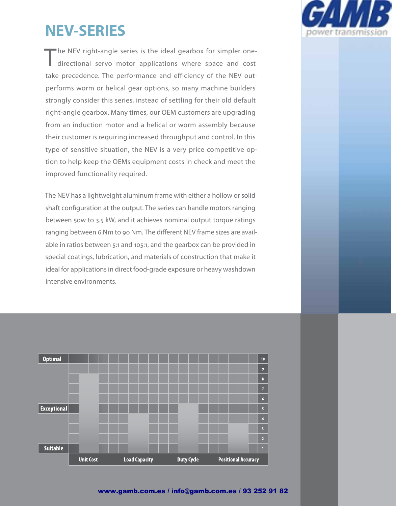# **NEV-SERIES**

"he NEV right-angle series is the ideal gearbox for simpler onedirectional servo motor applications where space and cost take precedence. The performance and efficiency of the NEV outperforms worm or helical gear options, so many machine builders strongly consider this series, instead of settling for their old default right-angle gearbox. Many times, our OEM customers are upgrading from an induction motor and a helical or worm assembly because their customer is requiring increased throughput and control. In this type of sensitive situation, the NEV is a very price competitive option to help keep the OEMs equipment costs in check and meet the improved functionality required.

The NEV has a lightweight aluminum frame with either a hollow or solid shaft configuration at the output. The series can handle motors ranging between 50w to 3.5 kW, and it achieves nominal output torque ratings ranging between 6 Nm to 90 Nm. The different NEV frame sizes are available in ratios between 5:1 and 105:1, and the gearbox can be provided in special coatings, lubrication, and materials of construction that make it ideal for applications in direct food-grade exposure or heavy washdown intensive environments.



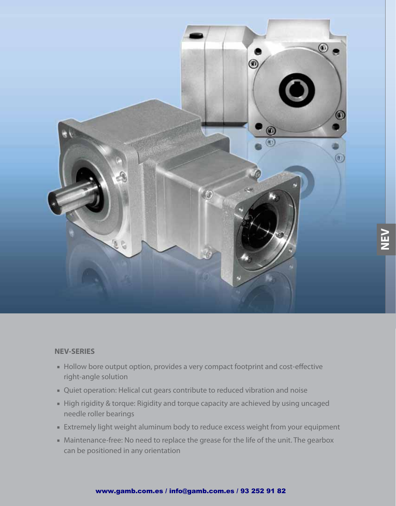

**NEV**

#### **NEV-SERIES**

- Hollow bore output option, provides a very compact footprint and cost-effective right-angle solution
- Quiet operation: Helical cut gears contribute to reduced vibration and noise
- High rigidity & torque: Rigidity and torque capacity are achieved by using uncaged needle roller bearings
- Extremely light weight aluminum body to reduce excess weight from your equipment
- Maintenance-free: No need to replace the grease for the life of the unit. The gearbox can be positioned in any orientation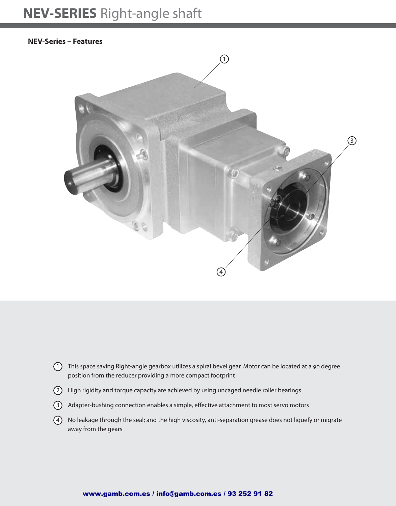#### **NEV-Series – Features**



- $(1)$  This space saving Right-angle gearbox utilizes a spiral bevel gear. Motor can be located at a 90 degree position from the reducer providing a more compact footprint
- 2 High rigidity and torque capacity are achieved by using uncaged needle roller bearings
- (3) Adapter-bushing connection enables a simple, effective attachment to most servo motors
- 4 No leakage through the seal; and the high viscosity, anti-separation grease does not liquefy or migrate away from the gears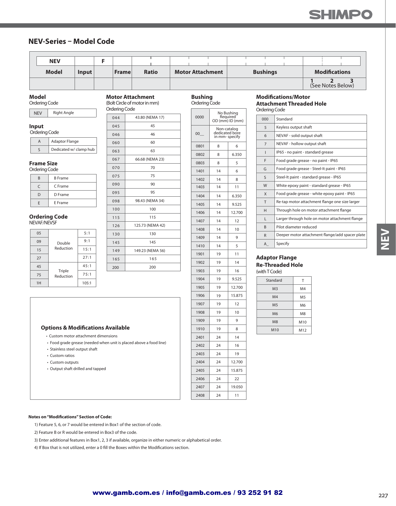#### **NEV-Series – Model Code**

| <b>NEV</b>   |       |              |              |                         |  |                 |  |                      |  |
|--------------|-------|--------------|--------------|-------------------------|--|-----------------|--|----------------------|--|
|              |       |              |              |                         |  |                 |  |                      |  |
| <b>Model</b> | lnput | <b>Frame</b> | <b>Ratio</b> | <b>Motor Attachment</b> |  | <b>Bushings</b> |  | <b>Modifications</b> |  |

#### **Model**

Ordering Code

| <b>NEV</b> | <b>Right Angle</b> |
|------------|--------------------|
|------------|--------------------|

#### **Input**

| Ordering Code |                        |  |  |  |  |  |
|---------------|------------------------|--|--|--|--|--|
|               | <b>Adaptor Flange</b>  |  |  |  |  |  |
|               | Dedicated w/ clamp hub |  |  |  |  |  |

#### **Frame Size**

| R | <b>B</b> Frame |
|---|----------------|
| г | C Frame        |
| D | D Frame        |
| F | E Frame        |

#### **Ordering Code** NEVAF/NEVSF

| 05 |                     | 5:1   |
|----|---------------------|-------|
| 09 | Double              | 9:1   |
| 15 | Reduction           | 15:1  |
| 27 |                     | 27:1  |
| 45 | Triple<br>Reduction | 45:1  |
| 75 |                     | 75:1  |
| 1H |                     | 105:1 |

| <b>Ordering Code</b> |                  |  |  |  |
|----------------------|------------------|--|--|--|
| 044                  | 43.80 (NEMA 17)  |  |  |  |
| 045                  | 45               |  |  |  |
| 046                  | 46               |  |  |  |
| 060                  | 60               |  |  |  |
| 063                  | 63               |  |  |  |
| 067                  | 66.68 (NEMA 23)  |  |  |  |
| 070                  | 70               |  |  |  |
| 075                  | 75               |  |  |  |
| 090                  | 90               |  |  |  |
| 095                  | 95               |  |  |  |
| 098                  | 98.43 (NEMA 34)  |  |  |  |
| 100                  | 100              |  |  |  |
| 115                  | 115              |  |  |  |
| 126                  | 125.73 (NEMA 42) |  |  |  |
| 130                  | 130              |  |  |  |
| 145                  | 145              |  |  |  |
| 149                  | 149.23 (NEMA 56) |  |  |  |
| 165                  | 165              |  |  |  |
| 200                  | 200              |  |  |  |
|                      |                  |  |  |  |

**Motor Attachment** (Bolt Circle of motor in mm)

| 7)  | 0000 | OD (mm) ID (mm                                 | No Bushing<br>Required |
|-----|------|------------------------------------------------|------------------------|
|     | 00   | Non-catalog<br>dedicated bore<br>in mm-specify |                        |
|     | 0801 | 8                                              | 6                      |
|     | 0802 | 8                                              | 6.350                  |
| 3)  | 0803 | 8                                              | 5                      |
|     | 1401 | 14                                             | 6                      |
|     | 1402 | 14                                             | 8                      |
|     | 1403 | 14                                             | 11                     |
|     | 1404 | 14                                             | 6.350                  |
| 4)  | 1405 | 14                                             | 9.525                  |
|     | 1406 | 14                                             | 12.70                  |
|     | 1407 | 14                                             | 12                     |
| 12) | 1408 | 14                                             | 10                     |
|     | 1409 | 14                                             | 9                      |
|     | 1410 | 14                                             | 5                      |
| 56) | 1901 | 19                                             | 11                     |
|     | 1902 | 19                                             | 14                     |
|     | 1903 | 19                                             | 16                     |
|     | 1904 | 19                                             | 9.525                  |
|     | 1905 | 19                                             | 12.70                  |
|     | 1906 | 19                                             | 15.87                  |
|     | 1907 | 19                                             | 12                     |

19 19 19

1908 1909 1910

12.700

16 19 12.700 15.875 22 19.050 11

#### **Bushing** Ordering Code

|                                 | No Bushing      | Ordering                |
|---------------------------------|-----------------|-------------------------|
| Required                        | OD (mm) ID (mm) | 000                     |
| Non-catalog                     |                 | 5                       |
| dedicated bore<br>in mm-specify |                 | 6                       |
| 8<br>6                          |                 | $\overline{7}$          |
| 8                               | 6.350           | Ī                       |
| 8                               | 5               | F                       |
| 14                              | 6               | G                       |
| 14                              | 8               | S                       |
| 14                              | 11              | W                       |
| 14                              | 6.350           | X                       |
| 14                              | 9.525           | T                       |
| 14                              | 12.700          | Н                       |
| 14                              | 12              | L                       |
| 14                              | 10              | B                       |
| 14                              | 9               | R                       |
| 14                              | 5               | A                       |
| 19                              | 11              |                         |
| 19                              | 14              | Adapto<br><b>Re-Thr</b> |
| 19                              | 16              | (with TC                |
| 19                              | 9.525           | Stan                    |

#### **Modifications/Motor Attachment Threaded Hole**

Code

| 000            | Standard                                        |
|----------------|-------------------------------------------------|
| 5              | Keyless output shaft                            |
| 6              | NEVAF - solid output shaft                      |
| $\overline{7}$ | NEVAF - hollow output shaft                     |
| I              | IP65 - no paint - standard grease               |
| F              | Food grade grease - no paint - IP65             |
| G              | Food grade grease - Steel-It paint - IP65       |
| $\mathsf{S}$   | Steel-It paint - standard grease - IP65         |
| W              | White epoxy paint - standard grease - IP65      |
| X              | Food grade grease - white epoxy paint - IP65    |
| T              | Re-tap motor attachment flange one size larger  |
| н              | Through hole on motor attachment flange         |
| L              | Larger through hole on motor attachment flange  |
| B              | Pilot diameter reduced                          |
| R              | Deeper motor attachment flange/add spacer plate |
| A              | Specify                                         |

#### **Address** Flange **Readed Hole**

| (with T Code) |  |
|---------------|--|
|---------------|--|

| Standard        |                |
|-----------------|----------------|
| M <sub>3</sub>  | M <sub>4</sub> |
| M <sub>4</sub>  | M <sub>5</sub> |
| M <sub>5</sub>  | M <sub>6</sub> |
| M <sub>6</sub>  | M8             |
| M <sub>8</sub>  | M10            |
| M <sub>10</sub> | M12            |

#### **Options & Modifications Available**

- Custom motor attachment dimensions
- Food grade grease (needed when unit is placed above a food line)
- Stainless steel output shaft
- Custom ratios
- $\cdot$  Custom outputs
- $\cdot$  Output shaft drilled and tapped

**Notes on "Modifications" Section of Code:** 

1) Feature 5, 6, or 7 would be entered in Box1 of the section of code.

2) Feature B or R would be entered in Box3 of the code.

3) Enter additional features in Box1, 2, 3 if available, organize in either numeric or alphabetical order.

4) If Box that is not utilized, enter a 0 fill the Boxes within the Modifications section.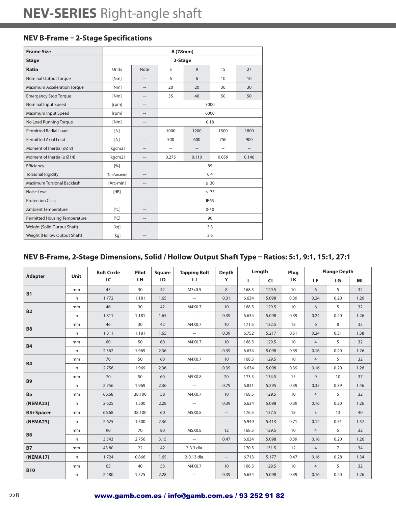### **NEV B-Frame – 2-Stage Specifications**

| <b>Frame Size</b>                    | <b>B</b> (78mm)         |                          |                              |                          |                |                                    |  |  |
|--------------------------------------|-------------------------|--------------------------|------------------------------|--------------------------|----------------|------------------------------------|--|--|
| <b>Stage</b>                         |                         |                          | 2-Stage                      |                          |                |                                    |  |  |
| <b>Ratio</b>                         | Units                   | <b>Note</b>              | 5                            | 9                        | 15             | 27                                 |  |  |
| <b>Nominal Output Torque</b>         | [Nm]                    |                          | 6                            | 6                        | 10             | 10                                 |  |  |
| <b>Maximum Acceleration Torque</b>   | [Nm]                    | $\overline{\phantom{a}}$ | 20                           | 20                       | 30             | 30                                 |  |  |
| <b>Emergency Stop Torque</b>         | [Nm]                    | $\overline{a}$           | 35                           | 40                       | 50             | 50                                 |  |  |
| Nominal Input Speed                  | [rpm]                   | $\sim$                   | 3000                         |                          |                |                                    |  |  |
| Maximum Input Speed                  | [rpm]                   | $\overline{\phantom{a}}$ | 6000                         |                          |                |                                    |  |  |
| No Load Running Torque               | [Nm]                    | $\overline{a}$           | 0.18                         |                          |                |                                    |  |  |
| <b>Permitted Radial Load</b>         | [N]                     | $\overline{a}$           | 1000<br>1200<br>1500<br>1800 |                          |                |                                    |  |  |
| Permitted Axial Load                 | [N]                     | $\overline{\phantom{a}}$ | 500                          | 600                      | 750            | 900                                |  |  |
| Moment of Inertia ( $\leq$ Ø 8)      | [kgcm2]                 | $\overline{a}$           | --                           | $\overline{\phantom{a}}$ | $\overline{a}$ | $\hspace{0.05cm} -\hspace{0.05cm}$ |  |  |
| Moment of Inertia ( $\leq$ Ø14)      | [kgcm2]                 | $\overline{a}$           | 0.275                        | 0.110                    | 0.059          | 0.146                              |  |  |
| Efficiency                           | [%]                     | $\overline{\phantom{a}}$ |                              |                          | 85             |                                    |  |  |
| <b>Torsional Rigidity</b>            | [Nm/arcmin]             | $\overline{a}$           |                              |                          | 0.4            |                                    |  |  |
| Maximum Torsional Backlash           | [Arc-min]               | $\overline{a}$           |                              |                          | $\leq 30$      |                                    |  |  |
| Noise Level                          | [dB]                    | $\overline{\phantom{a}}$ |                              |                          | $\leq 73$      |                                    |  |  |
| <b>Protection Class</b>              | $\hspace{0.05cm}$       | $\overline{a}$           |                              |                          | <b>IP65</b>    |                                    |  |  |
| <b>Ambient Temperature</b>           | $\lceil^{\circ}C\rceil$ | $\sim$                   | $0 - 40$                     |                          |                |                                    |  |  |
| <b>Permitted Housing Temperature</b> | $\lceil^{\circ}C\rceil$ | $\overline{\phantom{a}}$ | 90                           |                          |                |                                    |  |  |
| Weight (Solid Output Shaft)          | [kq]                    | $\overline{a}$           | 3.8                          |                          |                |                                    |  |  |
| Weight (Hollow Output Shaft)         | [kq]                    | $\sim$                   |                              |                          | 3.6            |                                    |  |  |

### **NEV B-Frame, 2-Stage Dimensions, Solid / Hollow Output Shaft Type – Ratios: 5:1, 9:1, 15:1, 27:1**

|                  |      | <b>Bolt Circle</b> | <b>Pilot</b> | <b>Square</b> | <b>Tapping Bolt</b> | <b>Depth</b>             |       | Length    | Plua      | <b>Flange Depth</b> |                |           |  |
|------------------|------|--------------------|--------------|---------------|---------------------|--------------------------|-------|-----------|-----------|---------------------|----------------|-----------|--|
| <b>Adapter</b>   | Unit | LC                 | LH.          | <b>LD</b>     | IJ                  | Y                        | L.    | <b>CL</b> | <b>LK</b> | LF                  | LG             | <b>ML</b> |  |
| <b>B1</b>        | mm   | 45                 | 30           | 42            | M3x0.5              | 8                        | 168.5 | 129.5     | 10        | 6                   | 5              | 32        |  |
|                  | in   | 1.772              | 1.181        | 1.65          | $\sim$              | 0.31                     | 6.634 | 5.098     | 0.39      | 0.24                | 0.20           | 1.26      |  |
| <b>B2</b>        | mm   | 46                 | 30           | 42            | M4X0.7              | 10                       | 168.5 | 129.5     | 10        | 6                   | 5              | 32        |  |
|                  | in   | 1.811              | 1.181        | 1.65          | $\sim$              | 0.39                     | 6.634 | 5.098     | 0.39      | 0.24                | 0.20           | 1.26      |  |
| <b>B8</b>        | mm   | 46                 | 30           | 42            | M4X0.7              | 10                       | 171.5 | 132.5     | 13        | 6                   | 8              | 35        |  |
|                  | in   | 1.811              | 1.181        | 1.65          | $\sim$              | 0.39                     | 6.752 | 5.217     | 0.51      | 0.24                | 0.31           | 1.38      |  |
| <b>B4</b>        | mm   | 60                 | 50           | 60            | M4X0.7              | 10                       | 168.5 | 129.5     | 10        | $\overline{4}$      | 5              | 32        |  |
|                  | in   | 2.362              | 1.969        | 2.36          | $\sim$              | 0.39                     | 6.634 | 5.098     | 0.39      | 0.16                | 0.20           | 1.26      |  |
| <b>B4</b>        | mm   | 70                 | 50           | 60            | M4X0.7              | 10                       | 168.5 | 129.5     | 10        | $\overline{4}$      | 5              | 32        |  |
|                  | in   | 2.756              | 1.969        | 2.36          | $\sim$              | 0.39                     | 6.634 | 5.098     | 0.39      | 0.16                | 0.20           | 1.26      |  |
| <b>B9</b>        | mm   | 70                 | 50           | 60            | M5X0.8              | 20                       | 173.5 | 134.5     | 15        | 9                   | 10             | 37        |  |
|                  | in   | 2.756              | 1.969        | 2.36          | $\sim$              | 0.79                     | 6.831 | 5.295     | 0.59      | 0.35                | 0.39           | 1.46      |  |
| <b>B5</b>        | mm   | 66.68              | 38.100       | 58            | M4X0.7              | 10                       | 168.5 | 129.5     | 10        | $\overline{4}$      | 5              | 32        |  |
| (NEMA23)         | in   | 2.625              | 1.500        | 2.28          | $\sim$              | 0.39                     | 6.634 | 5.098     | 0.39      | 0.16                | 0.20           | 1.26      |  |
| <b>B5+Spacer</b> | mm   | 66.68              | 38.100       | 60            | M5X0.8              | $\overline{\phantom{a}}$ | 176.5 | 137.5     | 18        | $\overline{3}$      | 13             | 40        |  |
| (NEMA23)         | in   | 2.625              | 1.500        | 2.36          | $\sim$              | $-\!$                    | 6.949 | 5.413     | 0.71      | 0.12                | 0.51           | 1.57      |  |
|                  | mm   | 90                 | 70           | 80            | M5X0.8              | 12                       | 168.5 | 129.5     | 10        | $\overline{4}$      | 5              | 32        |  |
| <b>B6</b>        | in   | 3.543              | 2.756        | 3.15          | $\sim$              | 0.47                     | 6.634 | 5.098     | 0.39      | 0.16                | 0.20           | 1.26      |  |
| <b>B7</b>        | mm   | 43.80              | 22           | 42            | 2-3.3 dia.          | $-\,$                    | 170.5 | 131.5     | 12        | $\overline{4}$      | $\overline{7}$ | 34        |  |
| (NEMA17)         | in   | 1.724              | 0.866        | 1.65          | 2-0.13 dia.         | $-\!$                    | 6.713 | 5.177     | 0.47      | 0.16                | 0.28           | 1.34      |  |
|                  | mm   | 63                 | 40           | 58            | M4X0.7              | 10                       | 168.5 | 129.5     | 10        | $\overline{4}$      | 5              | 32        |  |
| <b>B10</b>       | in   | 2.480              | 1.575        | 2.28          | $\sim$              | 0.39                     | 6.634 | 5.098     | 0.39      | 0.16                | 0.20           | 1.26      |  |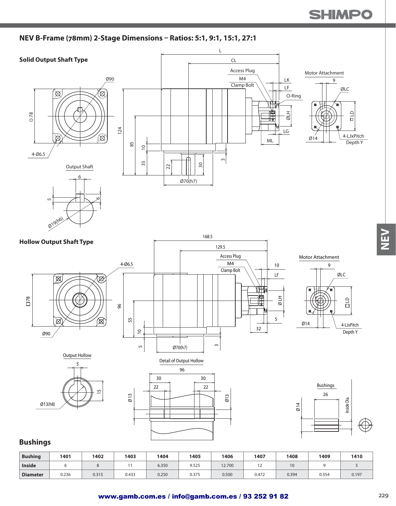### **NEV B-Frame (78mm) 2-Stage Dimensions – Ratios: 5:1, 9:1, 15:1, 27:1**



| <b>Bushing</b>  | 1401  | 1402  | 1403  | 1404  | 1405  | 1406   | 1407  | 1408  | 1409  | 1410  |
|-----------------|-------|-------|-------|-------|-------|--------|-------|-------|-------|-------|
| <b>Inside</b>   |       |       |       | 6.350 | 9.525 | 12.700 |       | 10    |       |       |
| <b>Diameter</b> | 0.236 | 0.315 | 0.433 | 0.250 | 0.375 | 0.500  | 0.472 | 0.394 | 0.354 | 0.197 |

N≣<br>N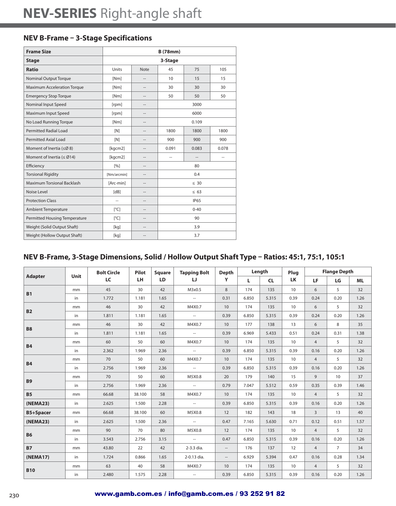# **NEV B-Frame – 3-Stage Specifications**

| <b>Frame Size</b>               | <b>B</b> (78mm)           |                |                      |             |       |  |  |  |
|---------------------------------|---------------------------|----------------|----------------------|-------------|-------|--|--|--|
| <b>Stage</b>                    |                           |                | 3-Stage              |             |       |  |  |  |
| <b>Ratio</b>                    | Units                     | <b>Note</b>    | 45                   | 75          | 105   |  |  |  |
| <b>Nominal Output Torque</b>    | [Nm]                      | --             | 10                   | 15          | 15    |  |  |  |
| Maximum Acceleration Torque     | [Nm]                      | $\sim$         | 30                   | 30          | 30    |  |  |  |
| <b>Emergency Stop Torque</b>    | [Nm]                      | --             | 50                   | 50          | 50    |  |  |  |
| Nominal Input Speed             | [rpm]                     | --             | 3000                 |             |       |  |  |  |
| Maximum Input Speed             | [rpm]                     | --             | 6000                 |             |       |  |  |  |
| No Load Running Torque          | [Nm]                      | --             | 0.109                |             |       |  |  |  |
| <b>Permitted Radial Load</b>    | [N]                       | --             | 1800<br>1800<br>1800 |             |       |  |  |  |
| <b>Permitted Axial Load</b>     | [N]                       | --             | 900                  | 900         | 900   |  |  |  |
| Moment of Inertia ( $\leq$ Ø8)  | [kgcm2]                   | --             | 0.091                | 0.083       | 0.078 |  |  |  |
| Moment of Inertia ( $\leq$ Ø14) | [kgcm2]                   | --             | --                   | --          |       |  |  |  |
| Efficiency                      | [%]                       | $\overline{a}$ |                      | 80          |       |  |  |  |
| <b>Torsional Rigidity</b>       | [Nm/arcmin]               | --             |                      | 0.4         |       |  |  |  |
| Maximum Torsional Backlash      | [Arc-min]                 | --             |                      | $\leq 30$   |       |  |  |  |
| Noise Level                     | [dB]                      | $\overline{a}$ |                      | $\leq 63$   |       |  |  |  |
| <b>Protection Class</b>         | --                        | --             |                      | <b>IP65</b> |       |  |  |  |
| <b>Ambient Temperature</b>      | $\lceil{^{\circ}C}\rceil$ | $\overline{a}$ | $0 - 40$             |             |       |  |  |  |
| Permitted Housing Temperature   | $\lceil^{\circ}C\rceil$   | $\sim$         | 90                   |             |       |  |  |  |
| Weight (Solid Output Shaft)     | [kq]                      | --             | 3.9                  |             |       |  |  |  |
| Weight (Hollow Output Shaft)    | [kg]                      | $\overline{a}$ | 3.7                  |             |       |  |  |  |

# **NEV B-Frame, 3-Stage Dimensions, Solid / Hollow Output Shaft Type – Ratios: 45:1, 75:1, 105:1**

|                  |      | <b>Bolt Circle</b> | Pilot  | <b>Square</b> | <b>Tapping Bolt</b>      | <b>Depth</b>             |       | Length    | Plug            |                | <b>Flange Depth</b> |           |
|------------------|------|--------------------|--------|---------------|--------------------------|--------------------------|-------|-----------|-----------------|----------------|---------------------|-----------|
| <b>Adapter</b>   | Unit | LC                 | LH.    | <b>LD</b>     | IJ                       | Y                        | L.    | <b>CL</b> | <b>LK</b>       | LF             | LG                  | <b>ML</b> |
| <b>B1</b>        | mm   | 45                 | 30     | 42            | M3x0.5                   | 8                        | 174   | 135       | 10 <sup>°</sup> | 6              | 5                   | 32        |
|                  | in   | 1.772              | 1.181  | 1.65          | $\sim$                   | 0.31                     | 6.850 | 5.315     | 0.39            | 0.24           | 0.20                | 1.26      |
| <b>B2</b>        | mm   | 46                 | 30     | 42            | M4X0.7                   | 10                       | 174   | 135       | 10              | 6              | 5                   | 32        |
|                  | in   | 1.811              | 1.181  | 1.65          | $\sim$                   | 0.39                     | 6.850 | 5.315     | 0.39            | 0.24           | 0.20                | 1.26      |
| <b>B8</b>        | mm   | 46                 | 30     | 42            | M4X0.7                   | 10                       | 177   | 138       | 13              | 6              | 8                   | 35        |
|                  | in   | 1.811              | 1.181  | 1.65          | $\sim$                   | 0.39                     | 6.969 | 5.433     | 0.51            | 0.24           | 0.31                | 1.38      |
| <b>B4</b>        | mm   | 60                 | 50     | 60            | M4X0.7                   | 10                       | 174   | 135       | 10              | $\overline{4}$ | 5                   | 32        |
|                  | in   | 2.362              | 1.969  | 2.36          | $\sim$                   | 0.39                     | 6.850 | 5.315     | 0.39            | 0.16           | 0.20                | 1.26      |
| <b>B4</b>        | mm   | 70                 | 50     | 60            | M4X0.7                   | 10                       | 174   | 135       | 10              | $\overline{4}$ | 5                   | 32        |
|                  | in   | 2.756              | 1.969  | 2.36          | $\sim$                   | 0.39                     | 6.850 | 5.315     | 0.39            | 0.16           | 0.20                | 1.26      |
| <b>B9</b>        | mm   | 70                 | 50     | 60            | M5X0.8                   | 20                       | 179   | 140       | 15              | 9              | 10                  | 37        |
|                  | in   | 2.756              | 1.969  | 2.36          | $\sim$                   | 0.79                     | 7.047 | 5.512     | 0.59            | 0.35           | 0.39                | 1.46      |
| <b>B5</b>        | mm   | 66.68              | 38.100 | 58            | M4X0.7                   | 10 <sup>°</sup>          | 174   | 135       | 10              | $\overline{4}$ | 5                   | 32        |
| (NEMA23)         | in   | 2.625              | 1.500  | 2.28          | $\overline{\phantom{a}}$ | 0.39                     | 6.850 | 5.315     | 0.39            | 0.16           | 0.20                | 1.26      |
| <b>B5+Spacer</b> | mm   | 66.68              | 38.100 | 60            | M5X0.8                   | 12                       | 182   | 143       | 18              | $\overline{3}$ | 13                  | 40        |
| (NEMA23)         | in   | 2.625              | 1.500  | 2.36          | $\sim$                   | 0.47                     | 7.165 | 5.630     | 0.71            | 0.12           | 0.51                | 1.57      |
|                  | mm   | 90                 | 70     | 80            | M5X0.8                   | 12                       | 174   | 135       | 10              | $\overline{4}$ | 5                   | 32        |
| <b>B6</b>        | in   | 3.543              | 2.756  | 3.15          | $\sim$                   | 0.47                     | 6.850 | 5.315     | 0.39            | 0.16           | 0.20                | 1.26      |
| <b>B7</b>        | mm   | 43.80              | 22     | 42            | 2-3.3 dia.               | $\overline{\phantom{a}}$ | 176   | 137       | 12              | $\overline{4}$ | $\overline{7}$      | 34        |
| (NEMA17)         | in   | 1.724              | 0.866  | 1.65          | 2-0.13 dia.              | $\overline{\phantom{a}}$ | 6.929 | 5.394     | 0.47            | 0.16           | 0.28                | 1.34      |
|                  | mm   | 63                 | 40     | 58            | M4X0.7                   | 10                       | 174   | 135       | 10              | $\overline{4}$ | 5                   | 32        |
| <b>B10</b>       | in   | 2.480              | 1.575  | 2.28          | $\sim$                   | 0.39                     | 6.850 | 5.315     | 0.39            | 0.16           | 0.20                | 1.26      |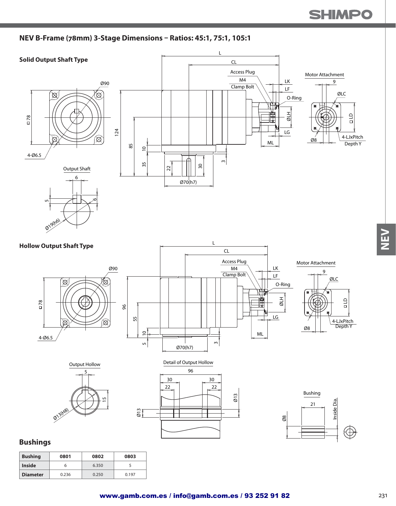#### **NEV B-Frame (78mm) 3-Stage Dimensions – Ratios: 45:1, 75:1, 105:1**



**Diameter** 0.236 0.250 0.197

M<br>N<br>N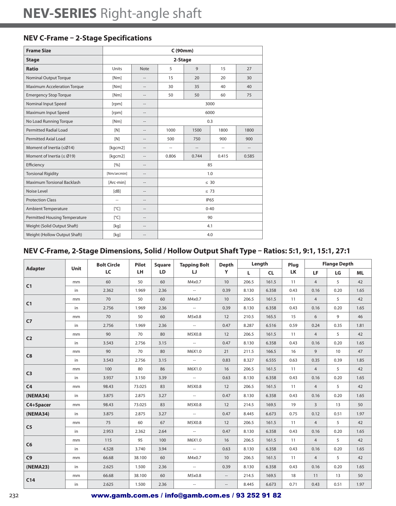### **NEV C-Frame – 2-Stage Specifications**

| <b>Frame Size</b>                    | C (90mm)                |                          |          |                |                |                                    |  |  |  |
|--------------------------------------|-------------------------|--------------------------|----------|----------------|----------------|------------------------------------|--|--|--|
| <b>Stage</b>                         |                         |                          | 2-Stage  |                |                |                                    |  |  |  |
| <b>Ratio</b>                         | Units                   | <b>Note</b>              | 5        | 9              | 15             | 27                                 |  |  |  |
| <b>Nominal Output Torque</b>         | [Nm]                    | $\sim$                   | 15       | 20             | 20             | 30                                 |  |  |  |
| <b>Maximum Acceleration Torque</b>   | [Nm]                    | $\overline{\phantom{a}}$ | 30       | 35             | 40             | 40                                 |  |  |  |
| <b>Emergency Stop Torque</b>         | [Nm]                    | $\overline{a}$           | 50       | 50             | 60             | 75                                 |  |  |  |
| Nominal Input Speed                  | [rpm]                   | $\overline{a}$           |          |                | 3000           |                                    |  |  |  |
| Maximum Input Speed                  | [rpm]                   | $\overline{\phantom{a}}$ | 6000     |                |                |                                    |  |  |  |
| No Load Running Torque               | [Nm]                    | $\overline{a}$           | 0.3      |                |                |                                    |  |  |  |
| <b>Permitted Radial Load</b>         | [N]                     | $\overline{a}$           | 1000     | 1500           | 1800           | 1800                               |  |  |  |
| Permitted Axial Load                 | [N]                     | $\overline{\phantom{a}}$ | 500      | 750            | 900            | 900                                |  |  |  |
| Moment of Inertia (≤Ø14)             | [kgcm2]                 | $\overline{a}$           | --       | $\overline{a}$ | $\overline{a}$ | $\hspace{0.05cm} -\hspace{0.05cm}$ |  |  |  |
| Moment of Inertia ( $\leq$ Ø19)      | [kgcm2]                 | $\overline{a}$           | 0.806    | 0.744          | 0.415          | 0.585                              |  |  |  |
| Efficiency                           | $\lceil 96 \rceil$      | $\overline{\phantom{a}}$ |          | 85             |                |                                    |  |  |  |
| <b>Torsional Rigidity</b>            | [Nm/arcmin]             | $\overline{a}$           |          |                | 1.0            |                                    |  |  |  |
| Maximum Torsional Backlash           | [Arc-min]               | $\overline{\phantom{a}}$ |          |                | $\leq 30$      |                                    |  |  |  |
| Noise Level                          | [dB]                    | $\overline{\phantom{a}}$ |          |                | $\leq 73$      |                                    |  |  |  |
| <b>Protection Class</b>              | $\overline{a}$          | $\overline{\phantom{a}}$ |          |                | <b>IP65</b>    |                                    |  |  |  |
| <b>Ambient Temperature</b>           | $\lceil^{\circ}C\rceil$ | $\overline{a}$           | $0 - 40$ |                |                |                                    |  |  |  |
| <b>Permitted Housing Temperature</b> | $\lceil^{\circ}C\rceil$ | $\overline{\phantom{a}}$ | 90       |                |                |                                    |  |  |  |
| Weight (Solid Output Shaft)          | [kg]                    | $\overline{\phantom{a}}$ | 4.1      |                |                |                                    |  |  |  |
| Weight (Hollow Output Shaft)         | [kg]                    | $\overline{a}$           |          |                | 4.0            |                                    |  |  |  |

# **NEV C-Frame, 2-Stage Dimensions, Solid / Hollow Output Shaft Type – Ratios: 5:1, 9:1, 15:1, 27:1**

|                |      | <b>Bolt Circle</b> | Pilot     | <b>Square</b> | <b>Tapping Bolt</b> | <b>Depth</b>                                        |       | Length    | Plug      |                | <b>Flange Depth</b> |           |
|----------------|------|--------------------|-----------|---------------|---------------------|-----------------------------------------------------|-------|-----------|-----------|----------------|---------------------|-----------|
| <b>Adapter</b> | Unit | LC                 | <b>LH</b> | LD            | IJ                  | Y                                                   | L.    | <b>CL</b> | <b>LK</b> | LF             | LG                  | <b>ML</b> |
| C1             | mm   | 60                 | 50        | 60            | M4x0.7              | 10 <sup>°</sup>                                     | 206.5 | 161.5     | 11        | $\overline{4}$ | 5                   | 42        |
|                | in   | 2.362              | 1.969     | 2.36          | $\sim$              | 0.39                                                | 8.130 | 6.358     | 0.43      | 0.16           | 0.20                | 1.65      |
| C1             | mm   | 70                 | 50        | 60            | M4x0.7              | 10                                                  | 206.5 | 161.5     | 11        | $\overline{4}$ | 5                   | 42        |
|                | in   | 2.756              | 1.969     | 2.36          | $\sim$              | 0.39                                                | 8.130 | 6.358     | 0.43      | 0.16           | 0.20                | 1.65      |
| C <sub>7</sub> | mm   | 70                 | 50        | 60            | M5x0.8              | 12                                                  | 210.5 | 165.5     | 15        | 6              | 9                   | 46        |
|                | in   | 2.756              | 1.969     | 2.36          | $\sim$              | 0.47                                                | 8.287 | 6.516     | 0.59      | 0.24           | 0.35                | 1.81      |
| C <sub>2</sub> | mm   | 90                 | 70        | 80            | M5X0.8              | 12                                                  | 206.5 | 161.5     | 11        | $\overline{4}$ | 5                   | 42        |
|                | in   | 3.543              | 2.756     | 3.15          | $\sim$              | 0.47                                                | 8.130 | 6.358     | 0.43      | 0.16           | 0.20                | 1.65      |
| C8             | mm   | 90                 | 70        | 80            | M6X1.0              | 21                                                  | 211.5 | 166.5     | 16        | 9              | 10                  | 47        |
|                | in   | 3.543              | 2.756     | 3.15          | $\sim$              | 0.83                                                | 8.327 | 6.555     | 0.63      | 0.35           | 0.39                | 1.85      |
| C <sub>3</sub> | mm   | 100                | 80        | 86            | M6X1.0              | 16                                                  | 206.5 | 161.5     | 11        | $\overline{4}$ | 5                   | 42        |
|                | in   | 3.937              | 3.150     | 3.39          | $\sim$              | 0.63                                                | 8.130 | 6.358     | 0.43      | 0.16           | 0.20                | 1.65      |
| C <sub>4</sub> | mm   | 98.43              | 73.025    | 83            | M5X0.8              | 12                                                  | 206.5 | 161.5     | 11        | $\overline{4}$ | 5                   | 42        |
| (NEMA34)       | in   | 3.875              | 2.875     | 3.27          | $\sim$              | 0.47                                                | 8.130 | 6.358     | 0.43      | 0.16           | 0.20                | 1.65      |
| C4+Spacer      | mm   | 98.43              | 73.025    | 83            | M5X0.8              | 12                                                  | 214.5 | 169.5     | 19        | $\overline{3}$ | 13                  | 50        |
| (NEMA34)       | in   | 3.875              | 2.875     | 3.27          | $\sim$              | 0.47                                                | 8.445 | 6.673     | 0.75      | 0.12           | 0.51                | 1.97      |
|                | mm   | 75                 | 60        | 67            | M5X0.8              | 12                                                  | 206.5 | 161.5     | 11        | $\overline{4}$ | 5                   | 42        |
| C <sub>5</sub> | in   | 2.953              | 2.362     | 2.64          | $\sim$              | 0.47                                                | 8.130 | 6.358     | 0.43      | 0.16           | 0.20                | 1.65      |
|                | mm   | 115                | 95        | 100           | M6X1.0              | 16                                                  | 206.5 | 161.5     | 11        | $\overline{4}$ | 5                   | 42        |
| C6             | in   | 4.528              | 3.740     | 3.94          | $\sim$              | 0.63                                                | 8.130 | 6.358     | 0.43      | 0.16           | 0.20                | 1.65      |
| C9             | mm   | 66.68              | 38.100    | 60            | M4x0.7              | 10                                                  | 206.5 | 161.5     | 11        | $\overline{4}$ | 5                   | 42        |
| (NEMA23)       | in   | 2.625              | 1.500     | 2.36          | $\sim$              | 0.39                                                | 8.130 | 6.358     | 0.43      | 0.16           | 0.20                | 1.65      |
|                | mm   | 66.68              | 38.100    | 60            | M5x0.8              | $\overline{\phantom{a}}$                            | 214.5 | 169.5     | 18        | 11             | 13                  | 50        |
| C14            | in   | 2.625              | 1.500     | 2.36          | $\sim$              | $\hspace{0.05cm} -\hspace{0.05cm} -\hspace{0.05cm}$ | 8.445 | 6.673     | 0.71      | 0.43           | 0.51                | 1.97      |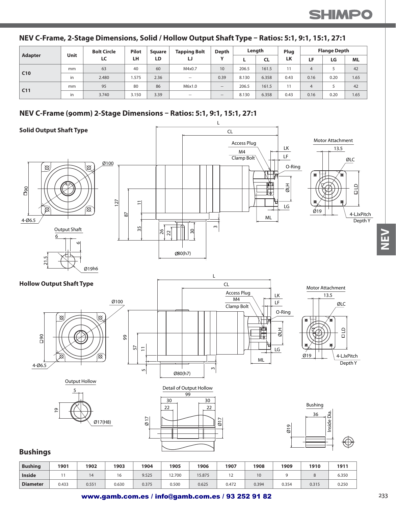|  | NEV C-Frame, 2-Stage Dimensions, Solid / Hollow Output Shaft Type - Ratios: 5:1, 9:1, 15:1, 27:1 |
|--|--------------------------------------------------------------------------------------------------|
|--|--------------------------------------------------------------------------------------------------|

|                 |      | <b>Bolt Circle</b> | <b>Pilot</b> | Sauare | <b>Tapping Bolt</b> | Depth                                          |       | Length    | Plug |      | <b>Flange Depth</b> |           |
|-----------------|------|--------------------|--------------|--------|---------------------|------------------------------------------------|-------|-----------|------|------|---------------------|-----------|
| Adapter         | Unit | LC                 | LH           | LD     | IJ                  | $\mathbf{v}$                                   |       | <b>CL</b> | LK   | LF.  | LG                  | <b>ML</b> |
| C10             | mm   | 63                 | 40           | 60     | M4x0.7              | 10                                             | 206.5 | 161.5     | 11   | 4    |                     | 42        |
|                 | in   | 2.480              | .575         | 2.36   | $\sim$              | 0.39                                           | 8.130 | 6.358     | 0.43 | 0.16 | 0.20                | 1.65      |
|                 | mm   | 95                 | 80           | 86     | M6x1.0              | $\hspace{0.1mm}-\hspace{0.1mm}-\hspace{0.1mm}$ | 206.5 | 161.5     | 11   | 4    |                     | 42        |
| C <sub>11</sub> | in   | 3.740              | 3.150        | 3.39   | $\sim$              | $\hspace{0.1mm}-\hspace{0.1mm}-\hspace{0.1mm}$ | 8.130 | 6.358     | 0.43 | 0.16 | 0.20                | 1.65      |

## **NEV C-Frame (90mm) 2-Stage Dimensions – Ratios: 5:1, 9:1, 15:1, 27:1**



| <b>Bushing</b>  | 1901  | 1902  | 1903  | 1904  | 1905   | 1906   | 1907  | 1908  | 1909  | 1910  | 1911  |
|-----------------|-------|-------|-------|-------|--------|--------|-------|-------|-------|-------|-------|
| <b>Inside</b>   |       |       | 16    | 9.525 | 12.700 | 15.875 | ے ا   | 10    |       |       | 6.350 |
| <b>Diameter</b> | 0.433 | 0.551 | 0.630 | 0.375 | 0.500  | 0.625  | 0.472 | 0.394 | 0.354 | 0.315 | 0.250 |

N<br>N<br>N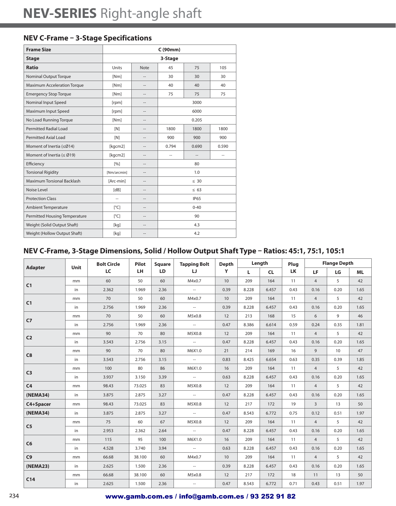### **NEV C-Frame – 3-Stage Specifications**

| <b>Frame Size</b>               | C (90mm)                |                          |                      |                          |                |  |  |  |
|---------------------------------|-------------------------|--------------------------|----------------------|--------------------------|----------------|--|--|--|
| <b>Stage</b>                    |                         |                          | 3-Stage              |                          |                |  |  |  |
| <b>Ratio</b>                    | Units                   | <b>Note</b>              | 45                   | 75                       | 105            |  |  |  |
| <b>Nominal Output Torque</b>    | [Nm]                    | $\overline{a}$           | 30                   | 30                       | 30             |  |  |  |
| Maximum Acceleration Torque     | [Nm]                    |                          | 40                   | 40                       | 40             |  |  |  |
| <b>Emergency Stop Torque</b>    | [Nm]                    | $\overline{a}$           | 75                   | 75                       | 75             |  |  |  |
| Nominal Input Speed             | [rpm]                   | --                       | 3000                 |                          |                |  |  |  |
| Maximum Input Speed             | [rpm]                   | $\hspace{0.05cm} -$      | 6000                 |                          |                |  |  |  |
| No Load Running Torque          | [Nm]                    | $\overline{a}$           | 0.205                |                          |                |  |  |  |
| <b>Permitted Radial Load</b>    | [N]                     | --                       | 1800<br>1800<br>1800 |                          |                |  |  |  |
| <b>Permitted Axial Load</b>     | [N]                     | $\overline{a}$           | 900                  | 900                      | 900            |  |  |  |
| Moment of Inertia (≤Ø14)        | [kgcm2]                 | $\hspace{0.05cm} -$      | 0.794                | 0.690                    | 0.590          |  |  |  |
| Moment of Inertia ( $\leq$ Ø19) | [kgcm2]                 | $\overline{\phantom{a}}$ | $\overline{a}$       | $\overline{\phantom{a}}$ | $\overline{a}$ |  |  |  |
| Efficiency                      | [%]                     | $\overline{\phantom{a}}$ |                      | 80                       |                |  |  |  |
| <b>Torsional Rigidity</b>       | [Nm/arcmin]             | $\hspace{0.05cm} -$      |                      | 1.0                      |                |  |  |  |
| Maximum Torsional Backlash      | [Arc-min]               | $\overline{a}$           |                      | $\leq 30$                |                |  |  |  |
| Noise Level                     | [dB]                    | --                       |                      | $\leq 63$                |                |  |  |  |
| <b>Protection Class</b>         | $\overline{a}$          | $\overline{a}$           |                      | <b>IP65</b>              |                |  |  |  |
| <b>Ambient Temperature</b>      | $\lceil^{\circ}C\rceil$ | --                       | $0 - 40$             |                          |                |  |  |  |
| Permitted Housing Temperature   | $\lceil^{\circ}$ C]     | $\hspace{0.05cm} -$      | 90                   |                          |                |  |  |  |
| Weight (Solid Output Shaft)     | [kg]                    | $\overline{a}$           | 4.3                  |                          |                |  |  |  |
| Weight (Hollow Output Shaft)    | [kg]                    |                          | 4.2                  |                          |                |  |  |  |

### **NEV C-Frame, 3-Stage Dimensions, Solid / Hollow Output Shaft Type – Ratios: 45:1, 75:1, 105:1**

|                | Unit | <b>Bolt Circle</b> | Pilot  | <b>Square</b> | <b>Tapping Bolt</b> | <b>Depth</b> |       | Length    | Plug |                | <b>Flange Depth</b> |           |
|----------------|------|--------------------|--------|---------------|---------------------|--------------|-------|-----------|------|----------------|---------------------|-----------|
| <b>Adapter</b> |      | LC                 | LH.    | <b>LD</b>     | IJ                  | Y            | L.    | <b>CL</b> | LK   | <b>LF</b>      | LG                  | <b>ML</b> |
| C1             | mm   | 60                 | 50     | 60            | M4x0.7              | 10           | 209   | 164       | 11   | $\overline{4}$ | 5                   | 42        |
|                | in   | 2.362              | 1.969  | 2.36          | $\sim$              | 0.39         | 8.228 | 6.457     | 0.43 | 0.16           | 0.20                | 1.65      |
| C1             | mm   | 70                 | 50     | 60            | M4x0.7              | 10           | 209   | 164       | 11   | $\overline{4}$ | 5                   | 42        |
|                | in   | 2.756              | 1.969  | 2.36          | $\sim$              | 0.39         | 8.228 | 6.457     | 0.43 | 0.16           | 0.20                | 1.65      |
| C7             | mm   | 70                 | 50     | 60            | M5x0.8              | 12           | 213   | 168       | 15   | 6              | 9                   | 46        |
|                | in   | 2.756              | 1.969  | 2.36          | $\sim$              | 0.47         | 8.386 | 6.614     | 0.59 | 0.24           | 0.35                | 1.81      |
| C <sub>2</sub> | mm   | 90                 | 70     | 80            | M5X0.8              | 12           | 209   | 164       | 11   | $\overline{4}$ | 5                   | 42        |
|                | in   | 3.543              | 2.756  | 3.15          | $\sim$              | 0.47         | 8.228 | 6.457     | 0.43 | 0.16           | 0.20                | 1.65      |
| C8             | mm   | 90                 | 70     | 80            | M6X1.0              | 21           | 214   | 169       | 16   | 9              | 10                  | 47        |
|                | in   | 3.543              | 2.756  | 3.15          | $\sim$              | 0.83         | 8.425 | 6.654     | 0.63 | 0.35           | 0.39                | 1.85      |
| C <sub>3</sub> | mm   | 100                | 80     | 86            | M6X1.0              | 16           | 209   | 164       | 11   | $\overline{4}$ | 5                   | 42        |
|                | in   | 3.937              | 3.150  | 3.39          | $\sim$              | 0.63         | 8.228 | 6.457     | 0.43 | 0.16           | 0.20                | 1.65      |
| C <sub>4</sub> | mm   | 98.43              | 73.025 | 83            | M5X0.8              | 12           | 209   | 164       | 11   | $\overline{4}$ | 5                   | 42        |
| (NEMA34)       | in   | 3.875              | 2.875  | 3.27          | $\sim$              | 0.47         | 8.228 | 6.457     | 0.43 | 0.16           | 0.20                | 1.65      |
| C4+Spacer      | mm   | 98.43              | 73.025 | 83            | M5X0.8              | 12           | 217   | 172       | 19   | $\overline{3}$ | 13                  | 50        |
| (NEMA34)       | in   | 3.875              | 2.875  | 3.27          | $\sim$              | 0.47         | 8.543 | 6.772     | 0.75 | 0.12           | 0.51                | 1.97      |
|                | mm   | 75                 | 60     | 67            | M5X0.8              | 12           | 209   | 164       | 11   | $\overline{4}$ | 5                   | 42        |
| C <sub>5</sub> | in   | 2.953              | 2.362  | 2.64          | $\sim$              | 0.47         | 8.228 | 6.457     | 0.43 | 0.16           | 0.20                | 1.65      |
| C6             | mm   | 115                | 95     | 100           | M6X1.0              | 16           | 209   | 164       | 11   | $\overline{4}$ | 5                   | 42        |
|                | in   | 4.528              | 3.740  | 3.94          | $\sim$              | 0.63         | 8.228 | 6.457     | 0.43 | 0.16           | 0.20                | 1.65      |
| C9             | mm   | 66.68              | 38.100 | 60            | M4x0.7              | 10           | 209   | 164       | 11   | $\overline{4}$ | 5                   | 42        |
| (NEMA23)       | in   | 2.625              | 1.500  | 2.36          | $\sim$              | 0.39         | 8.228 | 6.457     | 0.43 | 0.16           | 0.20                | 1.65      |
|                | mm   | 66.68              | 38.100 | 60            | M5x0.8              | 12           | 217   | 172       | 18   | 11             | 13                  | 50        |
| C14            | in   | 2.625              | 1.500  | 2.36          | $\sim$              | 0.47         | 8.543 | 6.772     | 0.71 | 0.43           | 0.51                | 1.97      |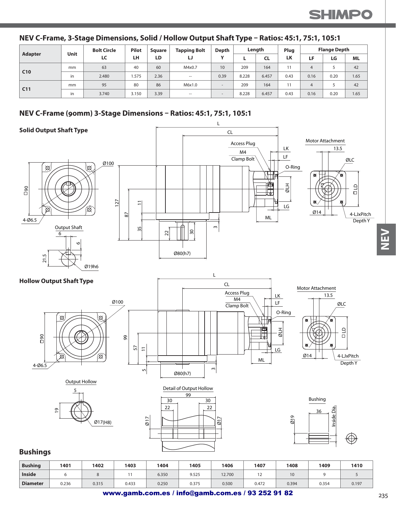#### **NEV C-Frame, 3-Stage Dimensions, Solid / Hollow Output Shaft Type – Ratios: 45:1, 75:1, 105:1**

| Adapter         | Unit | <b>Bolt Circle</b> | <b>Pilot</b> | <b>Square</b> | <b>Tapping Bolt</b> | Depth        |       | Length | Plug |      | <b>Flange Depth</b> |           |
|-----------------|------|--------------------|--------------|---------------|---------------------|--------------|-------|--------|------|------|---------------------|-----------|
|                 |      | LC                 | LH           | LD            | IJ                  | $\mathbf{v}$ | ь.    | CL     | LK   | LF   | LG                  | <b>ML</b> |
| C10             | mm   | 63                 | 40           | 60            | M4x0.7              | 10           | 209   | 164    |      |      |                     | 42        |
|                 | in   | 2.480              | .575         | 2.36          | $\hspace{0.05cm}$   | 0.39         | 8.228 | 6.457  | 0.43 | 0.16 | 0.20                | 1.65      |
| C <sub>11</sub> | mm   | 95                 | 80           | 86            | M6x1.0              |              | 209   | 164    |      |      |                     | 42        |
|                 | in   | 3.740              | 3.150        | 3.39          | -                   |              | 8.228 | 6.457  | 0.43 | 0.16 | 0.20                | 1.65      |

#### **NEV C-Frame (90mm) 3-Stage Dimensions – Ratios: 45:1, 75:1, 105:1**



| <b>Bushing</b>  | 1401  | 1402  | 1403  | 1404  | 1405  | 1406   | 1407  | 1408  | 1409  | 1410  |
|-----------------|-------|-------|-------|-------|-------|--------|-------|-------|-------|-------|
| <b>Inside</b>   |       |       |       | 6.350 | 9.525 | 12.700 | . .   |       |       |       |
| <b>Diameter</b> | 0.236 | 0.315 | 0.433 | 0.250 | 0.375 | 0.500  | 0.472 | 0.394 | 0.354 | 0.197 |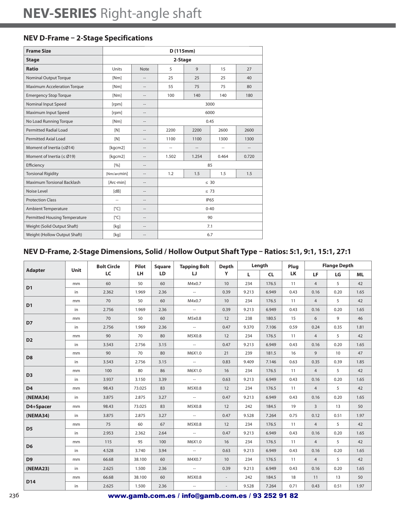### **NEV D-Frame – 2-Stage Specifications**

| <b>Frame Size</b>                  |                    |                          | D(115mm)                     |                |                   |                   |  |  |
|------------------------------------|--------------------|--------------------------|------------------------------|----------------|-------------------|-------------------|--|--|
| <b>Stage</b>                       |                    |                          | 2-Stage                      |                |                   |                   |  |  |
| <b>Ratio</b>                       | Units              | <b>Note</b>              | 5                            | 9              | 15                | 27                |  |  |
| <b>Nominal Output Torque</b>       | [Nm]               | $\sim$                   | 25                           | 25             | 25                | 40                |  |  |
| <b>Maximum Acceleration Torque</b> | [Nm]               | $\hspace{0.05cm} -$      | 55                           | 75             | 75                | 80                |  |  |
| <b>Emergency Stop Torque</b>       | [Nm]               | $\overline{a}$           | 100                          | 140            | 140               | 180               |  |  |
| Nominal Input Speed                | [rpm]              | $\overline{a}$           | 3000                         |                |                   |                   |  |  |
| Maximum Input Speed                | [rpm]              | $\overline{\phantom{a}}$ |                              |                |                   |                   |  |  |
| No Load Running Torque             | [Nm]               | $\overline{a}$           |                              |                | 0.45              |                   |  |  |
| <b>Permitted Radial Load</b>       | [N]                | $\overline{a}$           | 2200<br>2200<br>2600<br>2600 |                |                   |                   |  |  |
| Permitted Axial Load               | [N]                | $\overline{a}$           | 1100<br>1100<br>1300<br>1300 |                |                   |                   |  |  |
| Moment of Inertia (≤Ø14)           | [kgcm2]            | $\overline{a}$           | $\overline{a}$               | $\overline{a}$ | $\hspace{0.05cm}$ | $\qquad \qquad -$ |  |  |
| Moment of Inertia ( $\leq$ Ø19)    | [kgcm2]            | $\overline{a}$           | 1.502                        | 1.254          | 0.464             | 0.720             |  |  |
| Efficiency                         | [%]                | $\overline{a}$           |                              | 85             |                   |                   |  |  |
| <b>Torsional Rigidity</b>          | [Nm/arcmin]        | $\overline{a}$           | 1.2                          | 1.5            | 1.5               | 1.5               |  |  |
| <b>Maximum Torsional Backlash</b>  | [Arc-min]          | $\overline{a}$           |                              |                | $\leq 30$         |                   |  |  |
| Noise Level                        | [dB]               | $\overline{a}$           |                              |                | $\leq 73$         |                   |  |  |
| <b>Protection Class</b>            | $\hspace{0.05cm}$  | $\overline{a}$           |                              |                | <b>IP65</b>       |                   |  |  |
| <b>Ambient Temperature</b>         | $\lceil^{\circ}$ C | $-$                      |                              | $0 - 40$       |                   |                   |  |  |
| Permitted Housing Temperature      | $\lceil^{\circ}$ C | $\overline{a}$           | 90                           |                |                   |                   |  |  |
| Weight (Solid Output Shaft)        | [kq]               | $\overline{a}$           | 7.1                          |                |                   |                   |  |  |
| Weight (Hollow Output Shaft)       | [kq]               | $\overline{a}$           |                              |                | 6.7               |                   |  |  |

# **NEV D-Frame, 2-Stage Dimensions, Solid / Hollow Output Shaft Type – Ratios: 5:1, 9:1, 15:1, 27:1**

|                | Unit | <b>Bolt Circle</b> | <b>Pilot</b> | <b>Square</b> | <b>Tapping Bolt</b> | <b>Depth</b> |       | Length    | Plug |                | <b>Flange Depth</b> |           |
|----------------|------|--------------------|--------------|---------------|---------------------|--------------|-------|-----------|------|----------------|---------------------|-----------|
| <b>Adapter</b> |      | LC                 | LH.          | LD            | IJ                  | Y            | L.    | <b>CL</b> | LK   | LF             | LG                  | <b>ML</b> |
| D <sub>1</sub> | mm   | 60                 | 50           | 60            | M4x0.7              | 10           | 234   | 176.5     | 11   | $\overline{4}$ | 5                   | 42        |
|                | in   | 2.362              | 1.969        | 2.36          | $\sim$              | 0.39         | 9.213 | 6.949     | 0.43 | 0.16           | 0.20                | 1.65      |
| D <sub>1</sub> | mm   | 70                 | 50           | 60            | M4x0.7              | 10           | 234   | 176.5     | 11   | $\overline{4}$ | 5                   | 42        |
|                | in   | 2.756              | 1.969        | 2.36          | $\sim$              | 0.39         | 9.213 | 6.949     | 0.43 | 0.16           | 0.20                | 1.65      |
| D7             | mm   | 70                 | 50           | 60            | M5x0.8              | 12           | 238   | 180.5     | 15   | 6              | 9                   | 46        |
|                | in   | 2.756              | 1.969        | 2.36          | $\sim$              | 0.47         | 9.370 | 7.106     | 0.59 | 0.24           | 0.35                | 1.81      |
| D <sub>2</sub> | mm   | 90                 | 70           | 80            | M5X0.8              | 12           | 234   | 176.5     | 11   | $\overline{4}$ | 5                   | 42        |
|                | in   | 3.543              | 2.756        | 3.15          | $\sim$              | 0.47         | 9.213 | 6.949     | 0.43 | 0.16           | 0.20                | 1.65      |
| D <sub>8</sub> | mm   | 90                 | 70           | 80            | M6X1.0              | 21           | 239   | 181.5     | 16   | 9              | 10                  | 47        |
|                | in   | 3.543              | 2.756        | 3.15          | $\sim$              | 0.83         | 9.409 | 7.146     | 0.63 | 0.35           | 0.39                | 1.85      |
| D <sub>3</sub> | mm   | 100                | 80           | 86            | M6X1.0              | 16           | 234   | 176.5     | 11   | $\overline{4}$ | 5                   | 42        |
|                | in   | 3.937              | 3.150        | 3.39          | $\sim$              | 0.63         | 9.213 | 6.949     | 0.43 | 0.16           | 0.20                | 1.65      |
| D <sub>4</sub> | mm   | 98.43              | 73.025       | 83            | M5X0.8              | 12           | 234   | 176.5     | 11   | $\overline{4}$ | 5                   | 42        |
| (NEMA34)       | in   | 3.875              | 2.875        | 3.27          | $\sim$              | 0.47         | 9.213 | 6.949     | 0.43 | 0.16           | 0.20                | 1.65      |
| D4+Spacer      | mm   | 98.43              | 73.025       | 83            | M5X0.8              | 12           | 242   | 184.5     | 19   | $\overline{3}$ | 13                  | 50        |
| (NEMA34)       | in   | 3.875              | 2.875        | 3.27          | $\sim$              | 0.47         | 9.528 | 7.264     | 0.75 | 0.12           | 0.51                | 1.97      |
|                | mm   | 75                 | 60           | 67            | M5X0.8              | 12           | 234   | 176.5     | 11   | $\overline{4}$ | 5                   | 42        |
| D <sub>5</sub> | in   | 2.953              | 2.362        | 2.64          | $\sim$              | 0.47         | 9.213 | 6.949     | 0.43 | 0.16           | 0.20                | 1.65      |
|                | mm   | 115                | 95           | 100           | M6X1.0              | 16           | 234   | 176.5     | 11   | $\overline{4}$ | 5                   | 42        |
| D <sub>6</sub> | in   | 4.528              | 3.740        | 3.94          | $\sim$              | 0.63         | 9.213 | 6.949     | 0.43 | 0.16           | 0.20                | 1.65      |
| D <sub>9</sub> | mm   | 66.68              | 38.100       | 60            | M4X0.7              | 10           | 234   | 176.5     | 11   | $\overline{4}$ | 5                   | 42        |
| (NEMA23)       | in   | 2.625              | 1.500        | 2.36          | $\sim$              | 0.39         | 9.213 | 6.949     | 0.43 | 0.16           | 0.20                | 1.65      |
|                | mm   | 66.68              | 38.100       | 60            | M5X0.8              | $\sim$       | 242   | 184.5     | 18   | 11             | 13                  | 50        |
| D14            | in   | 2.625              | 1.500        | 2.36          | $\sim$              | $\bar{a}$    | 9.528 | 7.264     | 0.71 | 0.43           | 0.51                | 1.97      |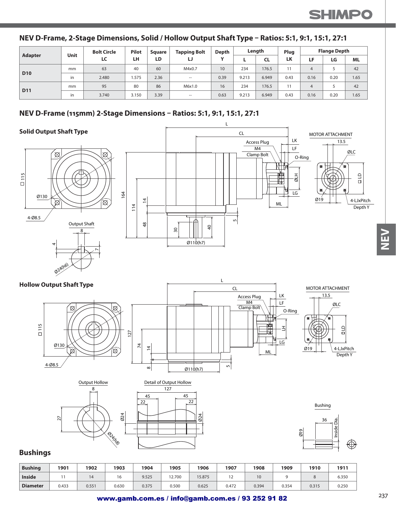#### **NEV D-Frame, 2-Stage Dimensions, Solid / Hollow Output Shaft Type – Ratios: 5:1, 9:1, 15:1, 27:1**

| Adapter    | Unit | <b>Bolt Circle</b> | <b>Pilot</b> | Sauare | <b>Tapping Bolt</b> | Depth        |       | Length | Plug |      | <b>Flange Depth</b> |           |
|------------|------|--------------------|--------------|--------|---------------------|--------------|-------|--------|------|------|---------------------|-----------|
|            |      | LC                 | LH           | LD     | IJ                  | $\mathbf{v}$ |       | CL     | LK   | LF.  | LG                  | <b>ML</b> |
|            | mm   | 63                 | 40           | 60     | M4x0.7              | 10           | 234   | 176.5  | 11   | 4    |                     | 42        |
| <b>D10</b> | in   | 2.480              | 1.575        | 2.36   | $\sim$              | 0.39         | 9.213 | 6.949  | 0.43 | 0.16 | 0.20                | 1.65      |
|            | mm   | 95                 | 80           | 86     | M6x1.0              | 16           | 234   | 176.5  | 11   | 4    |                     | 42        |
| <b>D11</b> | in   | 3.740              | 3.150        | 3.39   | $- -$               | 0.63         | 9.213 | 6.949  | 0.43 | 0.16 | 0.20                | 1.65      |

#### **NEV D-Frame (115mm) 2-Stage Dimensions – Ratios: 5:1, 9:1, 15:1, 27:1**



| <b>Bushing</b>  | 1901  | 1902  | 1903  | 1904  | 1905  | 1906   | 1907  | 1908  | 1909  | 1910  | 1911  |
|-----------------|-------|-------|-------|-------|-------|--------|-------|-------|-------|-------|-------|
| <b>Inside</b>   |       | 14    | 16    | 9.525 | 2.700 | 15.875 | ╺     | 10    |       |       | 6.350 |
| <b>Diameter</b> | 0.433 | 0.551 | 0.630 | 0.375 | 0.500 | 0.625  | 0.472 | 0.394 | 0.354 | 0.315 | 0.250 |

### www.gamb.com.es / info@gamb.com.es / 93 252 91 82

コリフ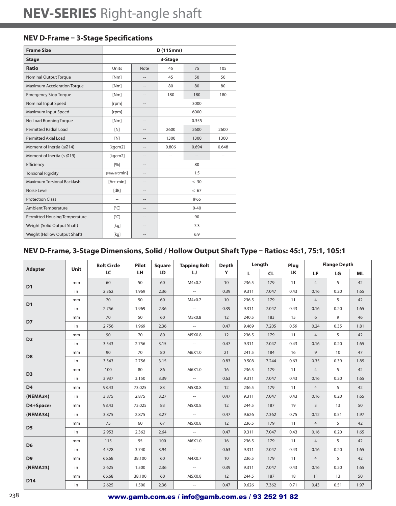#### **NEV D-Frame – 3-Stage Specifications**

| <b>Frame Size</b>                  |                     |                          | D(115mm)       |                |                |  |
|------------------------------------|---------------------|--------------------------|----------------|----------------|----------------|--|
| <b>Stage</b>                       |                     |                          | 3-Stage        |                |                |  |
| <b>Ratio</b>                       | Units               | <b>Note</b>              | 45             | 75             | 105            |  |
| <b>Nominal Output Torque</b>       | [Nm]                | --                       | 45             | 50             | 50             |  |
| <b>Maximum Acceleration Torque</b> | [Nm]                | --                       | 80             | 80             | 80             |  |
| <b>Emergency Stop Torque</b>       | [Nm]                | $-$                      | 180            | 180            |                |  |
| Nominal Input Speed                | [rpm]               | --                       |                |                |                |  |
| Maximum Input Speed                | [rpm]               | --                       |                |                |                |  |
| No Load Running Torque             | [Nm]                | $-$                      |                |                |                |  |
| <b>Permitted Radial Load</b>       | [N]                 | $\overline{a}$           | 2600           | 2600           |                |  |
| <b>Permitted Axial Load</b>        | [N]                 | --                       | 1300           | 1300           | 1300           |  |
| Moment of Inertia (≤Ø14)           | [kgcm2]             | $\hspace{0.05cm} -$      | 0.806          | 0.648          |                |  |
| Moment of Inertia ( $\leq$ Ø19)    | [kgcm2]             | $\overline{a}$           | $\overline{a}$ | $\overline{a}$ | $\overline{a}$ |  |
| Efficiency                         | [%]                 | --                       |                | 80             |                |  |
| <b>Torsional Rigidity</b>          | [Nm/arcmin]         | $\hspace{0.05cm} -$      |                | 1.5            |                |  |
| Maximum Torsional Backlash         | [Arc-min]           | $\overline{a}$           |                | $\leq 30$      |                |  |
| Noise Level                        | [dB]                | --                       |                | < 67           |                |  |
| <b>Protection Class</b>            | $\overline{a}$      | --                       |                | <b>IP65</b>    |                |  |
| <b>Ambient Temperature</b>         | $\lceil^{\circ}$ C  | $\overline{a}$           |                | $0 - 40$       |                |  |
| Permitted Housing Temperature      | $\lceil^{\circ}$ C] | $\overline{\phantom{a}}$ | 90             |                |                |  |
| Weight (Solid Output Shaft)        | [kg]                | --                       | 7.3            |                |                |  |
| Weight (Hollow Output Shaft)       | [kg]                | $\overline{a}$           |                | 6.9            |                |  |

# **NEV D-Frame, 3-Stage Dimensions, Solid / Hollow Output Shaft Type – Ratios: 45:1, 75:1, 105:1**

|                |             | <b>Bolt Circle</b> | <b>Pilot</b> | <b>Square</b> | <b>Tapping Bolt</b>      | <b>Depth</b> |       | Length    | Plug |                | <b>Flange Depth</b> |           |
|----------------|-------------|--------------------|--------------|---------------|--------------------------|--------------|-------|-----------|------|----------------|---------------------|-----------|
| <b>Adapter</b> | <b>Unit</b> | LC                 | LH.          | LD            | IJ                       | Y            | L.    | <b>CL</b> | LK   | LF             | LG                  | <b>ML</b> |
| D <sub>1</sub> | mm          | 60                 | 50           | 60            | M4x0.7                   | 10           | 236.5 | 179       | 11   | $\overline{4}$ | 5                   | 42        |
|                | in          | 2.362              | 1.969        | 2.36          | $\sim$                   | 0.39         | 9.311 | 7.047     | 0.43 | 0.16           | 0.20                | 1.65      |
| D <sub>1</sub> | mm          | 70                 | 50           | 60            | M4x0.7                   | 10           | 236.5 | 179       | 11   | $\overline{4}$ | 5                   | 42        |
|                | in          | 2.756              | 1.969        | 2.36          | $\sim$                   | 0.39         | 9.311 | 7.047     | 0.43 | 0.16           | 0.20                | 1.65      |
| D7             | mm          | 70                 | 50           | 60            | M5x0.8                   | 12           | 240.5 | 183       | 15   | 6              | 9                   | 46        |
|                | in          | 2.756              | 1.969        | 2.36          | $\sim$                   | 0.47         | 9.469 | 7.205     | 0.59 | 0.24           | 0.35                | 1.81      |
| D <sub>2</sub> | mm          | 90                 | 70           | 80            | M5X0.8                   | 12           | 236.5 | 179       | 11   | $\overline{4}$ | 5                   | 42        |
|                | in          | 3.543              | 2.756        | 3.15          | $\sim$                   | 0.47         | 9.311 | 7.047     | 0.43 | 0.16           | 0.20                | 1.65      |
| D <sub>8</sub> | mm          | 90                 | 70           | 80            | M6X1.0                   | 21           | 241.5 | 184       | 16   | 9              | 10                  | 47        |
|                | in          | 3.543              | 2.756        | 3.15          | $\sim$                   | 0.83         | 9.508 | 7.244     | 0.63 | 0.35           | 0.39                | 1.85      |
| D <sub>3</sub> | mm          | 100                | 80           | 86            | M6X1.0                   | 16           | 236.5 | 179       | 11   | $\overline{4}$ | 5                   | 42        |
|                | in          | 3.937              | 3.150        | 3.39          | $\overline{\phantom{a}}$ | 0.63         | 9.311 | 7.047     | 0.43 | 0.16           | 0.20                | 1.65      |
| D <sub>4</sub> | mm          | 98.43              | 73.025       | 83            | M5X0.8                   | 12           | 236.5 | 179       | 11   | $\overline{4}$ | 5                   | 42        |
| (NEMA34)       | in          | 3.875              | 2.875        | 3.27          | $\sim$                   | 0.47         | 9.311 | 7.047     | 0.43 | 0.16           | 0.20                | 1.65      |
| D4+Spacer      | mm          | 98.43              | 73.025       | 83            | M5X0.8                   | 12           | 244.5 | 187       | 19   | $\overline{3}$ | 13                  | 50        |
| (NEMA34)       | in          | 3.875              | 2.875        | 3.27          | $\sim$                   | 0.47         | 9.626 | 7.362     | 0.75 | 0.12           | 0.51                | 1.97      |
|                | mm          | 75                 | 60           | 67            | M5X0.8                   | 12           | 236.5 | 179       | 11   | $\overline{4}$ | 5                   | 42        |
| D <sub>5</sub> | in          | 2.953              | 2.362        | 2.64          | $\sim$                   | 0.47         | 9.311 | 7.047     | 0.43 | 0.16           | 0.20                | 1.65      |
| D <sub>6</sub> | mm          | 115                | 95           | 100           | M6X1.0                   | 16           | 236.5 | 179       | 11   | $\overline{4}$ | 5                   | 42        |
|                | in          | 4.528              | 3.740        | 3.94          | $\sim$                   | 0.63         | 9.311 | 7.047     | 0.43 | 0.16           | 0.20                | 1.65      |
| D <sub>9</sub> | mm          | 66.68              | 38.100       | 60            | M4X0.7                   | 10           | 236.5 | 179       | 11   | $\overline{4}$ | 5                   | 42        |
| (NEMA23)       | in          | 2.625              | 1.500        | 2.36          | $\sim$                   | 0.39         | 9.311 | 7.047     | 0.43 | 0.16           | 0.20                | 1.65      |
|                | mm          | 66.68              | 38.100       | 60            | M5X0.8                   | 12           | 244.5 | 187       | 18   | 11             | 13                  | 50        |
| D14            | in          | 2.625              | 1.500        | 2.36          | $\overline{\phantom{a}}$ | 0.47         | 9.626 | 7.362     | 0.71 | 0.43           | 0.51                | 1.97      |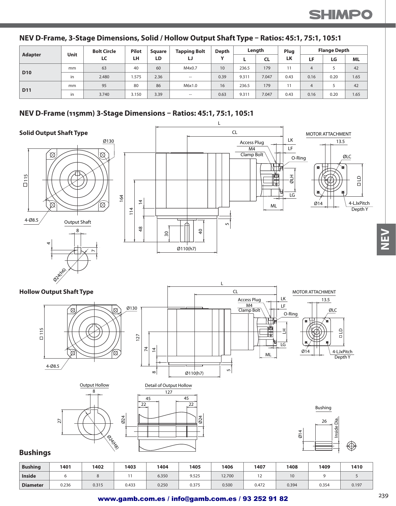#### **NEV D-Frame, 3-Stage Dimensions, Solid / Hollow Output Shaft Type – Ratios: 45:1, 75:1, 105:1**

| Adapter    | Unit | <b>Bolt Circle</b> | <b>Pilot</b> | <b>Square</b> | <b>Tapping Bolt</b> | Depth        |       | Length | Plug |      | <b>Flange Depth</b> |      |
|------------|------|--------------------|--------------|---------------|---------------------|--------------|-------|--------|------|------|---------------------|------|
|            |      | LC                 | LН           | LD            | IJ                  | $\mathbf{v}$ | ь.    | CL     | LK   | LF   | LG                  | ML   |
| <b>D10</b> | mm   | 63                 | 40           | 60            | M4x0.7              | 10           | 236.5 | 179    |      |      |                     | 42   |
|            | in   | 2.480              | .575         | 2.36          | $\hspace{0.05cm}$   | 0.39         | 9.311 | 7.047  | 0.43 | 0.16 | 0.20                | 1.65 |
|            | mm   | 95                 | 80           | 86            | M6x1.0              | 16           | 236.5 | 179    |      |      |                     | 42   |
| <b>D11</b> | in   | 3.740              | 3.150        | 3.39          | $\sim$              | 0.63         | 9.311 | 7.047  | 0.43 | 0.16 | 0.20                | 1.65 |

#### **NEV D-Frame (115mm) 3-Stage Dimensions – Ratios: 45:1, 75:1, 105:1**



| <b>Bushing</b>  | 1401  | 1402  | 1403  | 1404  | 1405  | 1406   | 1407       | '408  | 1409  | 1410  |
|-----------------|-------|-------|-------|-------|-------|--------|------------|-------|-------|-------|
| <b>Inside</b>   |       |       |       | 6.350 | 9.525 | 12.700 | $\epsilon$ | 10    |       |       |
| <b>Diameter</b> | 0.236 | 0.315 | 0.433 | 0.250 | 0.375 | 0.500  | 0.472      | 0.394 | 0.354 | 0.197 |

コリフ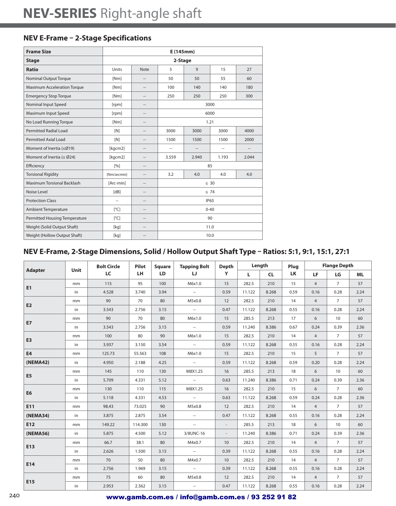### **NEV E-Frame – 2-Stage Specifications**

| <b>Frame Size</b>                  |                         |                   | E(145mm)                     |                |                          |                   |  |  |
|------------------------------------|-------------------------|-------------------|------------------------------|----------------|--------------------------|-------------------|--|--|
| <b>Stage</b>                       |                         |                   | 2-Stage                      |                |                          |                   |  |  |
| <b>Ratio</b>                       | Units                   | <b>Note</b>       | 5                            | 9              | 15                       | 27                |  |  |
| Nominal Output Torque              | [Nm]                    |                   | 50                           | 50             | 55                       | 60                |  |  |
| <b>Maximum Acceleration Torque</b> | [Nm]                    | $\qquad \qquad -$ | 100                          | 140            | 140                      | 180               |  |  |
| <b>Emergency Stop Torque</b>       | [Nm]                    | $-$               | 250                          | 250            | 250                      | 300               |  |  |
| Nominal Input Speed                | [rpm]                   |                   | 3000                         |                |                          |                   |  |  |
| Maximum Input Speed                | [rpm]                   | $\overline{a}$    |                              |                |                          |                   |  |  |
| No Load Running Torque             | [Nm]                    | $\sim$            |                              |                | 1.21                     |                   |  |  |
| <b>Permitted Radial Load</b>       | [N]                     |                   | 3000<br>3000<br>3000<br>4000 |                |                          |                   |  |  |
| Permitted Axial Load               | [N]                     | $\overline{a}$    | 1500<br>1500<br>1500<br>2000 |                |                          |                   |  |  |
| Moment of Inertia (≤Ø19)           | [kgcm2]                 | $\sim$            | --                           | $\overline{a}$ | $\overline{\phantom{a}}$ | $\qquad \qquad -$ |  |  |
| Moment of Inertia ( $\leq$ Ø24)    | [kgcm2]                 | --                | 3.559                        | 2.940          | 1.193                    | 2.044             |  |  |
| Efficiency                         | [%]                     | $\overline{a}$    |                              |                | 85                       |                   |  |  |
| <b>Torsional Rigidity</b>          | [Nm/arcmin]             | $\overline{a}$    | 3.2                          | 4.0            | 4.0                      | 4.0               |  |  |
| <b>Maximum Torsional Backlash</b>  | [Arc-min]               |                   |                              |                | $\leq 30$                |                   |  |  |
| Noise Level                        | [dB]                    | $\overline{a}$    |                              |                | $\leq 74$                |                   |  |  |
| <b>Protection Class</b>            | $\overline{a}$          | $\sim$            |                              |                | <b>IP65</b>              |                   |  |  |
| Ambient Temperature                | $\lceil^{\circ}C\rceil$ |                   | $0 - 40$                     |                |                          |                   |  |  |
| Permitted Housing Temperature      | $\lceil^{\circ}$ C      | $\overline{a}$    | 90                           |                |                          |                   |  |  |
| Weight (Solid Output Shaft)        | [kq]                    | $\sim$            | 11.0                         |                |                          |                   |  |  |
| Weight (Hollow Output Shaft)       | [kg]                    |                   | 10.0                         |                |                          |                   |  |  |

# **NEV E-Frame, 2-Stage Dimensions, Solid / Hollow Output Shaft Type – Ratios: 5:1, 9:1, 15:1, 27:1**

|                | Unit | <b>Bolt Circle</b> | Pilot   | Square    | <b>Tapping Bolt</b> | <b>Depth</b> |        | Length    | Plug      |                | <b>Flange Depth</b> |           |
|----------------|------|--------------------|---------|-----------|---------------------|--------------|--------|-----------|-----------|----------------|---------------------|-----------|
| <b>Adapter</b> |      | LC                 | LH.     | <b>LD</b> | IJ                  | Y            | L.     | <b>CL</b> | <b>LK</b> | <b>LF</b>      | LG                  | <b>ML</b> |
| E1             | mm   | 115                | 95      | 100       | M6x1.0              | 15           | 282.5  | 210       | 15        | $\overline{4}$ | $\overline{7}$      | 57        |
|                | in   | 4.528              | 3.740   | 3.94      | $\sim$              | 0.59         | 11.122 | 8.268     | 0.59      | 0.16           | 0.28                | 2.24      |
| E2             | mm   | 90                 | 70      | 80        | M5x0.8              | 12           | 282.5  | 210       | 14        | $\overline{4}$ | $\overline{7}$      | 57        |
|                | in   | 3.543              | 2.756   | 3.15      | $\sim$              | 0.47         | 11.122 | 8.268     | 0.55      | 0.16           | 0.28                | 2.24      |
| <b>E7</b>      | mm   | 90                 | 70      | 80        | M6x1.0              | 15           | 285.5  | 213       | 17        | 6              | 10 <sup>°</sup>     | 60        |
|                | in   | 3.543              | 2.756   | 3.15      | $\sim$              | 0.59         | 11.240 | 8.386     | 0.67      | 0.24           | 0.39                | 2.36      |
| E <sub>3</sub> | mm   | 100                | 80      | 90        | M6x1.0              | 15           | 282.5  | 210       | 14        | $\overline{4}$ | $\overline{7}$      | 57        |
|                | in   | 3.937              | 3.150   | 3.54      | $\sim$              | 0.59         | 11.122 | 8.268     | 0.55      | 0.16           | 0.28                | 2.24      |
| <b>E4</b>      | mm   | 125.73             | 55.563  | 108       | M6x1.0              | 15           | 282.5  | 210       | 15        | 5              | $\overline{7}$      | 57        |
| (NEMA42)       | in   | 4.950              | 2.188   | 4.25      | $\sim$              | 0.59         | 11.122 | 8.268     | 0.59      | 0.20           | 0.28                | 2.24      |
| E <sub>5</sub> | mm   | 145                | 110     | 130       | M8X1.25             | 16           | 285.5  | 213       | 18        | 6              | 10 <sup>°</sup>     | 60        |
|                | in   | 5.709              | 4.331   | 5.12      | $\sim$              | 0.63         | 11.240 | 8.386     | 0.71      | 0.24           | 0.39                | 2.36      |
| E <sub>6</sub> | mm   | 130                | 110     | 115       | M8X1.25             | 16           | 282.5  | 210       | 15        | 6              | $\overline{7}$      | 60        |
|                | in   | 5.118              | 4.331   | 4.53      | $\sim$              | 0.63         | 11.122 | 8.268     | 0.59      | 0.24           | 0.28                | 2.36      |
| E11            | mm   | 98.43              | 73.025  | 90        | M5x0.8              | 12           | 282.5  | 210       | 14        | $\overline{4}$ | $\overline{7}$      | 57        |
| (NEMA34)       | in   | 3.875              | 2.875   | 3.54      | $\sim$              | 0.47         | 11.122 | 8.268     | 0.55      | 0.16           | 0.28                | 2.24      |
| E12            | mm   | 149.22             | 114.300 | 130       | $\sim$              | $\sim$       | 285.5  | 213       | 18        | 6              | 10                  | 60        |
| (NEMA56)       | in   | 5.875              | 4.500   | 5.12      | 3/8UNC-16           | $\sim$       | 11.240 | 8.386     | 0.71      | 0.24           | 0.39                | 2.36      |
| E13            | mm   | 66.7               | 38.1    | 80        | M4x0.7              | 10           | 282.5  | 210       | 14        | $\overline{4}$ | $\overline{7}$      | 57        |
|                | in   | 2.626              | 1.500   | 3.15      | $\sim$              | 0.39         | 11.122 | 8.268     | 0.55      | 0.16           | 0.28                | 2.24      |
| E14            | mm   | 70                 | 50      | 80        | M4x0.7              | 10           | 282.5  | 210       | 14        | $\overline{4}$ | $\overline{7}$      | 57        |
|                | in   | 2.756              | 1.969   | 3.15      | $\sim$              | 0.39         | 11.122 | 8.268     | 0.55      | 0.16           | 0.28                | 2.24      |
| E15            | mm   | 75                 | 60      | 80        | M5x0.8              | 12           | 282.5  | 210       | 14        | $\overline{4}$ | $\overline{7}$      | 57        |
|                | in   | 2.953              | 2.362   | 3.15      | $\sim$              | 0.47         | 11.122 | 8.268     | 0.55      | 0.16           | 0.28                | 2.24      |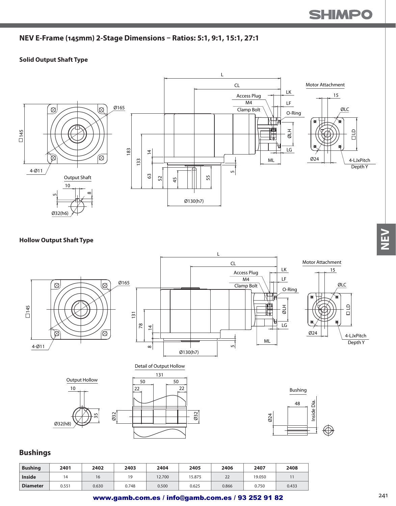### **NEV E-Frame (145mm) 2-Stage Dimensions – Ratios: 5:1, 9:1, 15:1, 27:1**

#### **Solid Output Shaft Type**



#### **Hollow Output Shaft Type**



#### **Bushings**

| <b>Bushing</b>  | 2401  | 2402  | 2403  | 2404   | 2405   | 2406  | 2407   | 2408  |
|-----------------|-------|-------|-------|--------|--------|-------|--------|-------|
| <b>Inside</b>   | 14    | 16    | 19    | 12.700 | 15.875 | 22    | 19.050 |       |
| <b>Diameter</b> | 0.551 | 0.630 | 0.748 | 0.500  | 0.625  | 0.866 | 0.750  | 0.433 |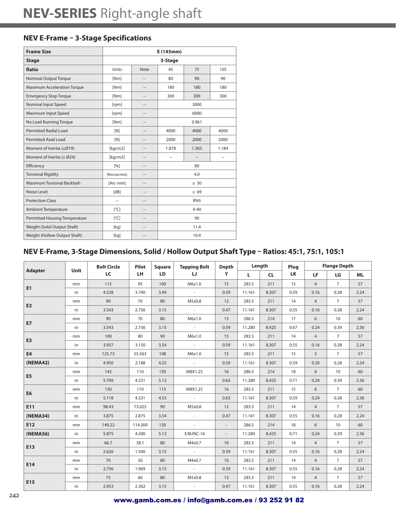#### **NEV E-Frame – 3-Stage Specifications**

| <b>Frame Size</b>                  | E (145mm)               |                          |                |                |        |  |  |  |
|------------------------------------|-------------------------|--------------------------|----------------|----------------|--------|--|--|--|
| <b>Stage</b>                       | 3-Stage                 |                          |                |                |        |  |  |  |
| <b>Ratio</b>                       | Units                   | <b>Note</b>              | 45             | 75             | 105    |  |  |  |
| <b>Nominal Output Torque</b>       | [Nm]                    | --                       | 80             | 90             | 90     |  |  |  |
| <b>Maximum Acceleration Torque</b> | [Nm]                    | --                       | 180            | 180            | 180    |  |  |  |
| <b>Emergency Stop Torque</b>       | [Nm]                    | $\hspace{0.05cm} -$      | 300            | 300            |        |  |  |  |
| Nominal Input Speed                | [rpm]                   | $\overline{a}$           |                | 3000           |        |  |  |  |
| Maximum Input Speed                | [rpm]                   | --                       |                | 6000           |        |  |  |  |
| No Load Running Torque             | [Nm]                    | $\hspace{0.05cm} -$      |                | 0.961          |        |  |  |  |
| <b>Permitted Radial Load</b>       | [N]                     | $\sim$                   | 4000           | 4000           | 4000   |  |  |  |
| <b>Permitted Axial Load</b>        | [N]                     | $\hspace{0.05cm} -$      | 2000           | 2000           | 2000   |  |  |  |
| Moment of Inertia (≤Ø19)           | [kgcm2]                 | $\hspace{0.05cm} -$      | 1.878          | 1.303          | 1.184  |  |  |  |
| Moment of Inertia ( $\leq$ Ø24)    | [kgcm2]                 | $\sim$                   | $\overline{a}$ | $\overline{a}$ | $\sim$ |  |  |  |
| Efficiency                         | $\lceil 9/6 \rceil$     | $\overline{\phantom{a}}$ | 80             |                |        |  |  |  |
| <b>Torsional Rigidity</b>          | [Nm/arcmin]             | $\overline{\phantom{a}}$ | 4.0            |                |        |  |  |  |
| Maximum Torsional Backlash         | [Arc-min]               | $\overline{a}$           | $\leq 30$      |                |        |  |  |  |
| Noise Level                        | [dB]                    | --                       | $\leq 69$      |                |        |  |  |  |
| <b>Protection Class</b>            | $\overline{a}$          | $\overline{\phantom{a}}$ | <b>IP65</b>    |                |        |  |  |  |
| <b>Ambient Temperature</b>         | $\lceil^{\circ}$ C      | $-$                      | $0 - 40$       |                |        |  |  |  |
| Permitted Housing Temperature      | $\lceil^{\circ}C\rceil$ | --                       | 90             |                |        |  |  |  |
| Weight (Solid Output Shaft)        | [kq]                    | $\overline{a}$           |                | 11.4           |        |  |  |  |
| Weight (Hollow Output Shaft)       | [kq]                    | --                       |                | 10.4           |        |  |  |  |

### **NEV E-Frame, 3-Stage Dimensions, Solid / Hollow Output Shaft Type – Ratios: 45:1, 75:1, 105:1**

|                | Unit | <b>Bolt Circle</b> | Pilot   | <b>Square</b><br><b>LD</b> | <b>Tapping Bolt</b><br>IJ | Depth<br>Y      | Length |           | Plug      | <b>Flange Depth</b> |                |           |
|----------------|------|--------------------|---------|----------------------------|---------------------------|-----------------|--------|-----------|-----------|---------------------|----------------|-----------|
| <b>Adapter</b> |      | LC                 | LH.     |                            |                           |                 | L.     | <b>CL</b> | <b>LK</b> | <b>LF</b>           | LG             | <b>ML</b> |
| E1             | mm   | 115                | 95      | 100                        | M6x1.0                    | 15              | 283.5  | 211       | 15        | $\overline{4}$      | $7^{\circ}$    | 57        |
|                | in   | 4.528              | 3.740   | 3.94                       | $\sim 10^{-11}$           | 0.59            | 11.161 | 8.307     | 0.59      | 0.16                | 0.28           | 2.24      |
| E2             | mm   | 90                 | 70      | 80                         | M5x0.8                    | 12              | 283.5  | 211       | 14        | $\overline{4}$      | $\overline{7}$ | 57        |
|                | in   | 3.543              | 2.756   | 3.15                       | $\sim$ $-$                | 0.47            | 11.161 | 8.307     | 0.55      | 0.16                | 0.28           | 2.24      |
| <b>E7</b>      | mm   | 90                 | 70      | 80                         | M6x1.0                    | 15              | 286.5  | 214       | 17        | 6                   | 10             | 60        |
|                | in   | 3.543              | 2.756   | 3.15                       | $\sim$                    | 0.59            | 11.280 | 8.425     | 0.67      | 0.24                | 0.39           | 2.36      |
| E <sub>3</sub> | mm   | 100                | 80      | 90                         | M6x1.0                    | 15              | 283.5  | 211       | 14        | $\overline{4}$      | $\overline{7}$ | 57        |
|                | in   | 3.937              | 3.150   | 3.54                       | $\sim$ $-$                | 0.59            | 11.161 | 8.307     | 0.55      | 0.16                | 0.28           | 2.24      |
| E <sub>4</sub> | mm   | 125.73             | 55.563  | 108                        | M6x1.0                    | 15              | 283.5  | 211       | 15        | 5 <sup>5</sup>      | $7^{\circ}$    | 57        |
| (NEMA42)       | in   | 4.950              | 2.188   | 4.25                       | $\sim 100$                | 0.59            | 11.161 | 8.307     | 0.59      | 0.20                | 0.28           | 2.24      |
|                | mm   | 145                | 110     | 130                        | M8X1.25                   | 16              | 286.5  | 214       | 18        | 6                   | 10             | 60        |
| E <sub>5</sub> | in   | 5.709              | 4.331   | 5.12                       | $\sim$ $-$                | 0.63            | 11.280 | 8.425     | 0.71      | 0.24                | 0.39           | 2.36      |
|                | mm   | 130                | 110     | 115                        | M8X1.25                   | 16              | 283.5  | 211       | 15        | 6                   | $\overline{7}$ | 60        |
| E <sub>6</sub> | in   | 5.118              | 4.331   | 4.53                       | $\sim$                    | 0.63            | 11.161 | 8.307     | 0.59      | 0.24                | 0.28           | 2.36      |
| E11            | mm   | 98.43              | 73.025  | 90                         | M5x0.8                    | 12              | 283.5  | 211       | 14        | $\overline{4}$      | $7^{\circ}$    | 57        |
| (NEMA34)       | in   | 3.875              | 2.875   | 3.54                       | $\sim$                    | 0.47            | 11.161 | 8.307     | 0.55      | 0.16                | 0.28           | 2.24      |
| E12            | mm   | 149.22             | 114.300 | 130                        | $\sim$                    | $\sim$          | 286.5  | 214       | 18        | 6                   | 10             | 60        |
| (NEMA56)       | in   | 5.875              | 4.500   | 5.12                       | 3/8UNC-16                 | $\sim$          | 11.280 | 8.425     | 0.71      | 0.24                | 0.39           | 2.36      |
|                | mm   | 66.7               | 38.1    | 80                         | M4x0.7                    | 10 <sup>°</sup> | 283.5  | 211       | 14        | $\overline{4}$      | $7^{\circ}$    | 57        |
| E13            | in   | 2.626              | 1.500   | 3.15                       | $\sim$ $-$                | 0.39            | 11.161 | 8.307     | 0.55      | 0.16                | 0.28           | 2.24      |
|                | mm   | 70                 | 50      | 80                         | M4x0.7                    | 10 <sup>°</sup> | 283.5  | 211       | 14        | $\overline{4}$      | $\overline{7}$ | 57        |
| E14            | in   | 2.756              | 1.969   | 3.15                       | $\sim$                    | 0.39            | 11.161 | 8.307     | 0.55      | 0.16                | 0.28           | 2.24      |
|                | mm   | 75                 | 60      | 80                         | M5x0.8                    | 12              | 283.5  | 211       | 14        | $\overline{4}$      | $\overline{7}$ | 57        |
| E15            | in   | 2.953              | 2.362   | 3.15                       | $\sim$                    | 0.47            | 11.161 | 8.307     | 0.55      | 0.16                | 0.28           | 2.24      |